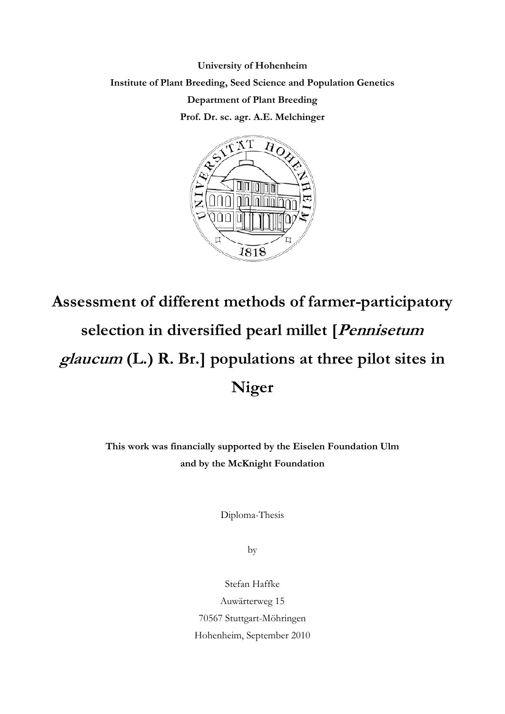**University of Hohenheim Institute of Plant Breeding, Seed Science and Population Genetics Department of Plant Breeding Prof. Dr. sc. agr. A.E. Melchinger** 



## **Assessment of different methods of farmer-participatory selection in diversified pearl millet [Pennisetum glaucum (L.) R. Br.] populations at three pilot sites in Niger**

**This work was financially supported by the Eiselen Foundation Ulm and by the McKnight Foundation**

Diploma-Thesis

by

Stefan Haffke Auwärterweg 15 70567 Stuttgart-Möhringen Hohenheim, September 2010